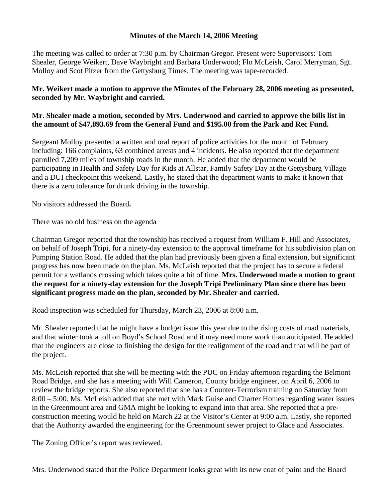## **Minutes of the March 14, 2006 Meeting**

The meeting was called to order at 7:30 p.m. by Chairman Gregor. Present were Supervisors: Tom Shealer, George Weikert, Dave Waybright and Barbara Underwood; Flo McLeish, Carol Merryman, Sgt. Molloy and Scot Pitzer from the Gettysburg Times. The meeting was tape-recorded.

## **Mr. Weikert made a motion to approve the Minutes of the February 28, 2006 meeting as presented, seconded by Mr. Waybright and carried.**

## **Mr. Shealer made a motion, seconded by Mrs. Underwood and carried to approve the bills list in the amount of \$47,893.69 from the General Fund and \$195.00 from the Park and Rec Fund.**

Sergeant Molloy presented a written and oral report of police activities for the month of February including: 166 complaints, 63 combined arrests and 4 incidents. He also reported that the department patrolled 7,209 miles of township roads in the month. He added that the department would be participating in Health and Safety Day for Kids at Allstar, Family Safety Day at the Gettysburg Village and a DUI checkpoint this weekend. Lastly, he stated that the department wants to make it known that there is a zero tolerance for drunk driving in the township.

No visitors addressed the Board**.** 

There was no old business on the agenda

Chairman Gregor reported that the township has received a request from William F. Hill and Associates, on behalf of Joseph Tripi, for a ninety-day extension to the approval timeframe for his subdivision plan on Pumping Station Road. He added that the plan had previously been given a final extension, but significant progress has now been made on the plan. Ms. McLeish reported that the project has to secure a federal permit for a wetlands crossing which takes quite a bit of time. **Mrs. Underwood made a motion to grant the request for a ninety-day extension for the Joseph Tripi Preliminary Plan since there has been significant progress made on the plan, seconded by Mr. Shealer and carried.** 

Road inspection was scheduled for Thursday, March 23, 2006 at 8:00 a.m.

Mr. Shealer reported that he might have a budget issue this year due to the rising costs of road materials, and that winter took a toll on Boyd's School Road and it may need more work than anticipated. He added that the engineers are close to finishing the design for the realignment of the road and that will be part of the project.

Ms. McLeish reported that she will be meeting with the PUC on Friday afternoon regarding the Belmont Road Bridge, and she has a meeting with Will Cameron, County bridge engineer, on April 6, 2006 to review the bridge reports. She also reported that she has a Counter-Terrorism training on Saturday from 8:00 – 5:00. Ms. McLeish added that she met with Mark Guise and Charter Homes regarding water issues in the Greenmount area and GMA might be looking to expand into that area. She reported that a preconstruction meeting would be held on March 22 at the Visitor's Center at 9:00 a.m. Lastly, she reported that the Authority awarded the engineering for the Greenmount sewer project to Glace and Associates.

The Zoning Officer's report was reviewed.

Mrs. Underwood stated that the Police Department looks great with its new coat of paint and the Board